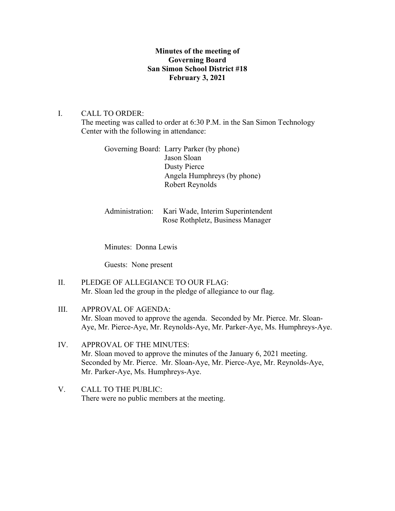## **Minutes of the meeting of Governing Board San Simon School District #18 February 3, 2021**

### I. CALL TO ORDER:

The meeting was called to order at 6:30 P.M. in the San Simon Technology Center with the following in attendance:

Governing Board: Larry Parker (by phone) Jason Sloan Dusty Pierce Angela Humphreys (by phone) Robert Reynolds

# Administration: Kari Wade, Interim Superintendent Rose Rothpletz, Business Manager

Minutes: Donna Lewis

Guests: None present

- II. PLEDGE OF ALLEGIANCE TO OUR FLAG: Mr. Sloan led the group in the pledge of allegiance to our flag.
- III. APPROVAL OF AGENDA: Mr. Sloan moved to approve the agenda. Seconded by Mr. Pierce. Mr. Sloan-Aye, Mr. Pierce-Aye, Mr. Reynolds-Aye, Mr. Parker-Aye, Ms. Humphreys-Aye.
- IV. APPROVAL OF THE MINUTES: Mr. Sloan moved to approve the minutes of the January 6, 2021 meeting. Seconded by Mr. Pierce. Mr. Sloan-Aye, Mr. Pierce-Aye, Mr. Reynolds-Aye, Mr. Parker-Aye, Ms. Humphreys-Aye.
- V. CALL TO THE PUBLIC: There were no public members at the meeting.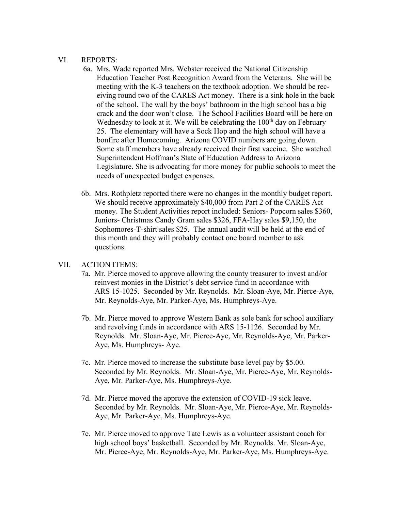#### VI. REPORTS:

- 6a. Mrs. Wade reported Mrs. Webster received the National Citizenship Education Teacher Post Recognition Award from the Veterans. She will be meeting with the K-3 teachers on the textbook adoption. We should be rec eiving round two of the CARES Act money. There is a sink hole in the back of the school. The wall by the boys' bathroom in the high school has a big crack and the door won't close. The School Facilities Board will be here on Wednesday to look at it. We will be celebrating the  $100<sup>th</sup>$  day on February 25. The elementary will have a Sock Hop and the high school will have a bonfire after Homecoming. Arizona COVID numbers are going down. Some staff members have already received their first vaccine. She watched Superintendent Hoffman's State of Education Address to Arizona Legislature. She is advocating for more money for public schools to meet the needs of unexpected budget expenses.
- 6b. Mrs. Rothpletz reported there were no changes in the monthly budget report. We should receive approximately \$40,000 from Part 2 of the CARES Act money. The Student Activities report included: Seniors- Popcorn sales \$360, Juniors- Christmas Candy Gram sales \$326, FFA-Hay sales \$9,150, the Sophomores-T-shirt sales \$25. The annual audit will be held at the end of this month and they will probably contact one board member to ask questions.

### VII. ACTION ITEMS:

- 7a. Mr. Pierce moved to approve allowing the county treasurer to invest and/or reinvest monies in the District's debt service fund in accordance with ARS 15-1025. Seconded by Mr. Reynolds. Mr. Sloan-Aye, Mr. Pierce-Aye, Mr. Reynolds-Aye, Mr. Parker-Aye, Ms. Humphreys-Aye.
- 7b. Mr. Pierce moved to approve Western Bank as sole bank for school auxiliary and revolving funds in accordance with ARS 15-1126. Seconded by Mr. Reynolds. Mr. Sloan-Aye, Mr. Pierce-Aye, Mr. Reynolds-Aye, Mr. Parker- Aye, Ms. Humphreys- Aye.
- 7c. Mr. Pierce moved to increase the substitute base level pay by \$5.00. Seconded by Mr. Reynolds. Mr. Sloan-Aye, Mr. Pierce-Aye, Mr. Reynolds- Aye, Mr. Parker-Aye, Ms. Humphreys-Aye.
- 7d. Mr. Pierce moved the approve the extension of COVID-19 sick leave. Seconded by Mr. Reynolds. Mr. Sloan-Aye, Mr. Pierce-Aye, Mr. Reynolds- Aye, Mr. Parker-Aye, Ms. Humphreys-Aye.
- 7e. Mr. Pierce moved to approve Tate Lewis as a volunteer assistant coach for high school boys' basketball. Seconded by Mr. Reynolds. Mr. Sloan-Aye, Mr. Pierce-Aye, Mr. Reynolds-Aye, Mr. Parker-Aye, Ms. Humphreys-Aye.